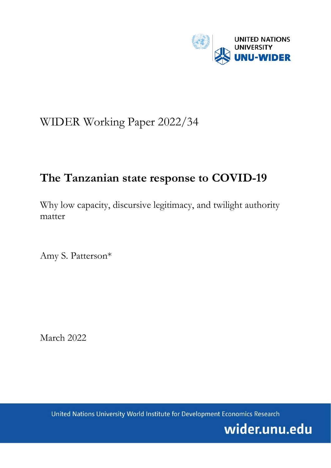

# WIDER Working Paper 2022/34

# **The Tanzanian state response to COVID-19**

Why low capacity, discursive legitimacy, and twilight authority matter

Amy S. Patterson\*

March 2022

United Nations University World Institute for Development Economics Research

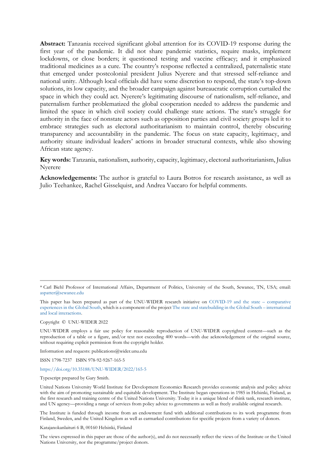**Abstract:** Tanzania received significant global attention for its COVID-19 response during the first year of the pandemic. It did not share pandemic statistics, require masks, implement lockdowns, or close borders; it questioned testing and vaccine efficacy; and it emphasized traditional medicines as a cure. The country's response reflected a centralized, paternalistic state that emerged under postcolonial president Julius Nyerere and that stressed self-reliance and national unity. Although local officials did have some discretion to respond, the state's top-down solutions, its low capacity, and the broader campaign against bureaucratic corruption curtailed the space in which they could act. Nyerere's legitimating discourse of nationalism, self-reliance, and paternalism further problematized the global cooperation needed to address the pandemic and limited the space in which civil society could challenge state actions. The state's struggle for authority in the face of nonstate actors such as opposition parties and civil society groups led it to embrace strategies such as electoral authoritarianism to maintain control, thereby obscuring transparency and accountability in the pandemic. The focus on state capacity, legitimacy, and authority situate individual leaders' actions in broader structural contexts, while also showing African state agency.

**Key words:** Tanzania, nationalism, authority, capacity, legitimacy, electoral authoritarianism, Julius Nyerere

**Acknowledgements:** The author is grateful to Laura Botros for research assistance, as well as Julio Teehankee, Rachel Gisselquist, and Andrea Vaccaro for helpful comments.

Copyright © UNU-WIDER 2022

UNU-WIDER employs a fair use policy for reasonable reproduction of UNU-WIDER copyrighted content—such as the reproduction of a table or a figure, and/or text not exceeding 400 words—with due acknowledgement of the original source, without requiring explicit permission from the copyright holder.

Information and requests: publications@wider.unu.edu

ISSN 1798-7237 ISBN 978-92-9267-165-5

## <https://doi.org/10.35188/UNU-WIDER/2022/165-5>

Typescript prepared by Gary Smith.

United Nations University World Institute for Development Economics Research provides economic analysis and policy advice with the aim of promoting sustainable and equitable development. The Institute began operations in 1985 in Helsinki, Finland, as the first research and training centre of the United Nations University. Today it is a unique blend of think tank, research institute, and UN agency—providing a range of services from policy advice to governments as well as freely available original research.

The Institute is funded through income from an endowment fund with additional contributions to its work programme from Finland, Sweden, and the United Kingdom as well as earmarked contributions for specific projects from a variety of donors.

Katajanokanlaituri 6 B, 00160 Helsinki, Finland

The views expressed in this paper are those of the author(s), and do not necessarily reflect the views of the Institute or the United Nations University, nor the programme/project donors.

<sup>\*</sup> Carl Biehl Professor of International Affairs, Department of Politics, University of the South, Sewanee, TN, USA; email: [aspatter@sewanee.edu](mailto:aspatter@sewanee.edu)

This paper has been prepared as part of the UNU-WIDER research initiative on [COVID-19 and the state –](https://www.wider.unu.edu/node/239521) comparative [experiences in the Global South,](https://www.wider.unu.edu/node/239521) which is a component of the projec[t The state and statebuilding in the Global South –](https://www.wider.unu.edu/node/237413) international [and local interactions.](https://www.wider.unu.edu/node/237413)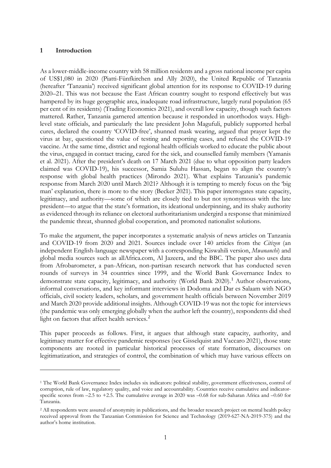## **1 Introduction**

As a lower-middle-income country with 58 million residents and a gross national income per capita of US\$1,080 in 2020 (Piatti-Fünfkirchen and Ally 2020), the United Republic of Tanzania (hereafter 'Tanzania') received significant global attention for its response to COVID-19 during 2020–21. This was not because the East African country sought to respond effectively but was hampered by its huge geographic area, inadequate road infrastructure, largely rural population (65 per cent of its residents) (Trading Economics 2021), and overall low capacity, though such factors mattered. Rather, Tanzania garnered attention because it responded in unorthodox ways. Highlevel state officials, and particularly the late president John Magufuli, publicly supported herbal cures, declared the country 'COVID-free', shunned mask wearing, argued that prayer kept the virus at bay, questioned the value of testing and reporting cases, and refused the COVID-19 vaccine. At the same time, district and regional health officials worked to educate the public about the virus, engaged in contact tracing, cared for the sick, and counselled family members (Yamanis et al. 2021). After the president's death on 17 March 2021 (due to what opposition party leaders claimed was COVID-19), his successor, Samia Suluhu Hassan, began to align the country's response with global health practices (Mirondo 2021). What explains Tanzania's pandemic response from March 2020 until March 2021? Although it is tempting to merely focus on the 'big man' explanation, there is more to the story (Becker 2021). This paper interrogates state capacity, legitimacy, and authority—some of which are closely tied to but not synonymous with the late president—to argue that the state's formation, its ideational underpinning, and its shaky authority as evidenced through its reliance on electoral authoritarianism undergird a response that minimized the pandemic threat, shunned global cooperation, and promoted nationalist solutions.

To make the argument, the paper incorporates a systematic analysis of news articles on Tanzania and COVID-19 from 2020 and 2021. Sources include over 140 articles from the *Citizen* (an independent English-language newspaper with a corresponding Kiswahili version, *Mwananchi*) and global media sources such as allAfrica.com, Al Jazeera, and the BBC. The paper also uses data from Afrobarometer, a pan-African, non-partisan research network that has conducted seven rounds of surveys in 34 countries since 1999, and the World Bank Governance Index to demonstrate state capacity, legitimacy, and authority (World Bank 2020).<sup>[1](#page-2-0)</sup> Author observations, informal conversations, and key informant interviews in Dodoma and Dar es Salaam with NGO officials, civil society leaders, scholars, and government health officials between November 2019 and March 2020 provide additional insights. Although COVID-19 was not the topic for interviews (the pandemic was only emerging globally when the author left the country), respondents did shed light on factors that affect health services.<sup>[2](#page-2-1)</sup>

This paper proceeds as follows. First, it argues that although state capacity, authority, and legitimacy matter for effective pandemic responses (see Gisselquist and Vaccaro 2021), those state components are rooted in particular historical processes of state formation, discourses on legitimatization, and strategies of control, the combination of which may have various effects on

<span id="page-2-0"></span><sup>1</sup> The World Bank Governance Index includes six indicators: political stability, government effectiveness, control of corruption, rule of law, regulatory quality, and voice and accountability. Countries receive cumulative and indicatorspecific scores from  $-2.5$  to  $+2.5$ . The cumulative average in 2020 was  $-0.68$  for sub-Saharan Africa and  $-0.60$  for Tanzania.

<span id="page-2-1"></span><sup>&</sup>lt;sup>2</sup> All respondents were assured of anonymity in publications, and the broader research project on mental health policy received approval from the Tanzanian Commission for Science and Technology (2019-627-NA-2019-375) and the author's home institution.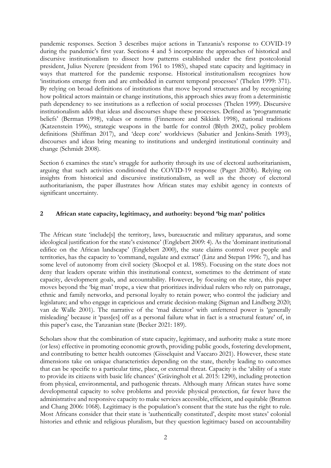pandemic responses. Section 3 describes major actions in Tanzania's response to COVID-19 during the pandemic's first year. Sections 4 and 5 incorporate the approaches of historical and discursive institutionalism to dissect how patterns established under the first postcolonial president, Julius Nyerere (president from 1961 to 1985), shaped state capacity and legitimacy in ways that mattered for the pandemic response. Historical institutionalism recognizes how 'institutions emerge from and are embedded in current temporal processes' (Thelen 1999: 371). By relying on broad definitions of institutions that move beyond structures and by recognizing how political actors maintain or change institutions, this approach shies away from a deterministic path dependency to see institutions as a reflection of social processes (Thelen 1999). Discursive institutionalism adds that ideas and discourses shape these processes. Defined as 'programmatic beliefs' (Berman 1998), values or norms (Finnemore and Sikkink 1998), national traditions (Katzenstein 1996), strategic weapons in the battle for control (Blyth 2002), policy problem definitions (Shiffman 2017), and 'deep core' worldviews (Sabatier and Jenkins-Smith 1993), discourses and ideas bring meaning to institutions and undergird institutional continuity and change (Schmidt 2008).

Section 6 examines the state's struggle for authority through its use of electoral authoritarianism, arguing that such activities conditioned the COVID-19 response (Paget 2020b). Relying on insights from historical and discursive institutionalism, as well as the theory of electoral authoritarianism, the paper illustrates how African states may exhibit agency in contexts of significant uncertainty.

## **2 African state capacity, legitimacy, and authority: beyond 'big man' politics**

The African state 'include[s] the territory, laws, bureaucratic and military apparatus, and some ideological justification for the state's existence' (Englebert 2009: 4). As the 'dominant institutional edifice on the African landscape' (Englebert 2000), the state claims control over people and territories, has the capacity to 'command, regulate and extract' (Linz and Stepan 1996: 7), and has some level of autonomy from civil society (Skocpol et al. 1985). Focusing on the state does not deny that leaders operate within this institutional context, sometimes to the detriment of state capacity, development goals, and accountability. However, by focusing on the state, this paper moves beyond the 'big man' trope, a view that prioritizes individual rulers who rely on patronage, ethnic and family networks, and personal loyalty to retain power; who control the judiciary and legislature; and who engage in capricious and erratic decision-making (Sigman and Lindberg 2020; van de Walle 2001). The narrative of the 'mad dictator' with unfettered power is 'generally misleading' because it 'pass[es] off as a personal failure what in fact is a structural feature' of, in this paper's case, the Tanzanian state (Becker 2021: 189).

Scholars show that the combination of state capacity, legitimacy, and authority make a state more (or less) effective in promoting economic growth, providing public goods, fostering development, and contributing to better health outcomes (Gisselquist and Vaccaro 2021). However, these state dimensions take on unique characteristics depending on the state, thereby leading to outcomes that can be specific to a particular time, place, or external threat. Capacity is the 'ability of a state to provide its citizens with basic life chances' (Grävingholt et al. 2015: 1290), including protection from physical, environmental, and pathogenic threats. Although many African states have some developmental capacity to solve problems and provide physical protection, far fewer have the administrative and responsive capacity to make services accessible, efficient, and equitable (Bratton and Chang 2006: 1068). Legitimacy is the population's consent that the state has the right to rule. Most Africans consider that their state is 'authentically constituted', despite most states' colonial histories and ethnic and religious pluralism, but they question legitimacy based on accountability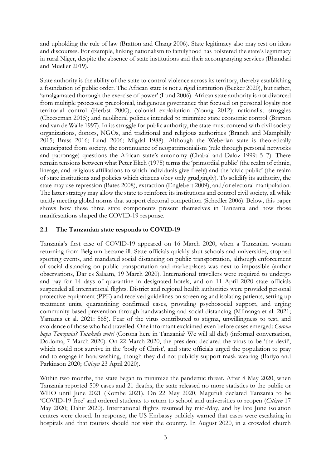and upholding the rule of law (Bratton and Chang 2006). State legitimacy also may rest on ideas and discourses. For example, linking nationalism to familyhood has bolstered the state's legitimacy in rural Niger, despite the absence of state institutions and their accompanying services (Bhandari and Mueller 2019).

State authority is the ability of the state to control violence across its territory, thereby establishing a foundation of public order. The African state is not a rigid institution (Becker 2020), but rather, 'amalgamated thorough the exercise of power' (Lund 2006). African state authority is not divorced from multiple processes: precolonial, indigenous governance that focused on personal loyalty not territorial control (Herbst 2000); colonial exploitation (Young 2012); nationalist struggles (Cheeseman 2015); and neoliberal policies intended to minimize state economic control (Bratton and van de Walle 1997). In its struggle for public authority, the state must contend with civil society organizations, donors, NGOs, and traditional and religious authorities (Branch and Mamphilly 2015; Brass 2016; Lund 2006; Migdal 1988). Although the Weberian state is theoretically emancipated from society, the continuance of neopatrimonialism (rule through personal networks and patronage) questions the African state's autonomy (Chabal and Daloz 1999: 5–7). There remain tensions between what Peter Ekeh (1975) terms the 'primordial public' (the realm of ethnic, lineage, and religious affiliations to which individuals give freely) and the 'civic public' (the realm of state institutions and policies which citizens obey only grudgingly). To solidify its authority, the state may use repression (Bates 2008), extraction (Englebert 2009), and/or electoral manipulation. The latter strategy may allow the state to reinforce its institutions and control civil society, all while tacitly meeting global norms that support electoral competition (Schedler 2006). Below, this paper shows how these three state components present themselves in Tanzania and how those manifestations shaped the COVID-19 response.

# **2.1 The Tanzanian state responds to COVID-19**

Tanzania's first case of COVID-19 appeared on 16 March 2020, when a Tanzanian woman returning from Belgium became ill. State officials quickly shut schools and universities, stopped sporting events, and mandated social distancing on public transportation, although enforcement of social distancing on public transportation and marketplaces was next to impossible (author observations, Dar es Salaam, 19 March 2020). International travellers were required to undergo and pay for 14 days of quarantine in designated hotels, and on 11 April 2020 state officials suspended all international flights. District and regional health authorities were provided personal protective equipment (PPE) and received guidelines on screening and isolating patients, setting up treatment units, quarantining confirmed cases, providing psychosocial support, and urging community-based prevention through handwashing and social distancing (Mfinanga et al. 2021; Yamanis et al. 2021: 565). Fear of the virus contributed to stigma, unwillingness to test, and avoidance of those who had travelled. One informant exclaimed even before cases emerged: *Corona hapa Tanzania? Tutakufa wote!* (Corona here in Tanzania? We will all die!) (informal conversation, Dodoma, 7 March 2020). On 22 March 2020, the president declared the virus to be 'the devil', which could not survive in the 'body of Christ', and state officials urged the population to pray and to engage in handwashing, though they did not publicly support mask wearing (Bariyo and Parkinson 2020; *Citizen* 23 April 2020).

Within two months, the state began to minimize the pandemic threat. After 8 May 2020, when Tanzania reported 509 cases and 21 deaths, the state released no more statistics to the public or WHO until June 2021 (Kombe 2021). On 22 May 2020, Magufuli declared Tanzania to be 'COVID-19 free' and ordered students to return to school and universities to reopen (*Citizen* 17 May 2020; Dahir 2020). International flights resumed by mid-May, and by late June isolation centres were closed. In response, the US Embassy publicly warned that cases were escalating in hospitals and that tourists should not visit the country. In August 2020, in a crowded church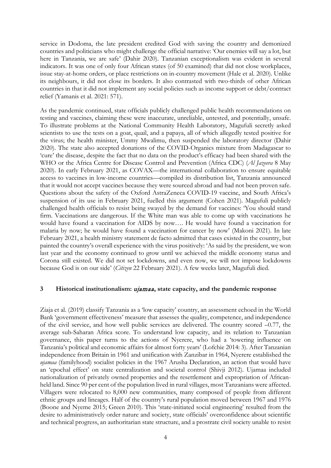service in Dodoma, the late president credited God with saving the country and demonized countries and politicians who might challenge the official narrative: 'Our enemies will say a lot, but here in Tanzania, we are safe' (Dahir 2020). Tanzanian exceptionalism was evident in several indicators. It was one of only four African states (of 50 examined) that did not close workplaces, issue stay-at-home orders, or place restrictions on in-country movement (Hale et al. 2020). Unlike its neighbours, it did not close its borders. It also contrasted with two-thirds of other African countries in that it did not implement any social policies such as income support or debt/contract relief (Yamanis et al. 2021: 571).

As the pandemic continued, state officials publicly challenged public health recommendations on testing and vaccines, claiming these were inaccurate, unreliable, untested, and potentially, unsafe. To illustrate problems at the National Community Health Laboratory, Magufuli secretly asked scientists to use the tests on a goat, quail, and a papaya, all of which allegedly tested positive for the virus; the health minister, Ummy Mwalimu, then suspended the laboratory director (Dahir 2020). The state also accepted donations of the COVID-Organics mixture from Madagascar to 'cure' the disease, despite the fact that no data on the product's efficacy had been shared with the WHO or the Africa Centre for Disease Control and Prevention (Africa CDC) (*Al Jazeera* 8 May 2020). In early February 2021, as COVAX—the international collaboration to ensure equitable access to vaccines in low-income countries—compiled its distribution list, Tanzania announced that it would not accept vaccines because they were sourced abroad and had not been proven safe. Questions about the safety of the Oxford AstraZeneca COVID-19 vaccine, and South Africa's suspension of its use in February 2021, fuelled this argument (Cohen 2021). Magufuli publicly challenged health officials to resist being swayed by the demand for vaccines: 'You should stand firm. Vaccinations are dangerous. If the White man was able to come up with vaccinations he would have found a vaccination for AIDS by now…. He would have found a vaccination for malaria by now; he would have found a vaccination for cancer by now' (Makoni 2021). In late February 2021, a health ministry statement de facto admitted that cases existed in the country, but painted the country's overall experience with the virus positively: 'As said by the president, we won last year and the economy continued to grow until we achieved the middle economy status and Corona still existed. We did not set lockdowns, and even now, we will not impose lockdowns because God is on our side' (*Citizen* 22 February 2021). A few weeks later, Magufuli died.

#### **3 Historical institutionalism:** ujamaa**, state capacity, and the pandemic response**

Ziaja et al. (2019) classify Tanzania as a 'low capacity' country, an assessment echoed in the World Bank 'government effectiveness' measure that assesses the quality, competence, and independence of the civil service, and how well public services are delivered. The country scored –0.77, the average sub-Saharan Africa score. To understand low capacity, and its relation to Tanzanian governance, this paper turns to the actions of Nyerere, who had a 'towering influence on Tanzania's political and economic affairs for almost forty years' (Lofchie 2014: 3). After Tanzanian independence from Britain in 1961 and unification with Zanzibar in 1964, Nyerere established the *ujamaa* (familyhood) socialist policies in the 1967 Arusha Declaration, an action that would have an 'epochal effect' on state centralization and societal control (Shivji 2012). Ujamaa included nationalization of privately owned properties and the resettlement and expropriation of Africanheld land. Since 90 per cent of the population lived in rural villages, most Tanzanians were affected. Villagers were relocated to 8,000 new communities, many composed of people from different ethnic groups and lineages. Half of the country's rural population moved between 1967 and 1976 (Boone and Nyeme 2015; Green 2010). This 'state-initiated social engineering' resulted from the desire to administratively order nature and society, state officials' overconfidence about scientific and technical progress, an authoritarian state structure, and a prostrate civil society unable to resist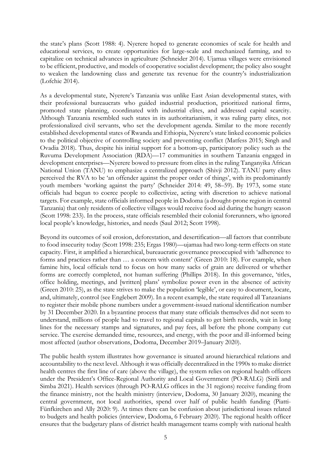the state's plans (Scott 1988: 4). Nyerere hoped to generate economies of scale for health and educational services, to create opportunities for large-scale and mechanized farming, and to capitalize on technical advances in agriculture (Schneider 2014). Ujamaa villages were envisioned to be efficient, productive, and models of cooperative socialist development; the policy also sought to weaken the landowning class and generate tax revenue for the country's industrialization (Lofchie 2014).

As a developmental state, Nyerere's Tanzania was unlike East Asian developmental states, with their professional bureaucrats who guided industrial production, prioritized national firms, promoted state planning, coordinated with industrial elites, and addressed capital scarcity. Although Tanzania resembled such states in its authoritarianism, it was ruling party elites, not professionalized civil servants, who set the development agenda. Similar to the more recently established developmental states of Rwanda and Ethiopia, Nyerere's state linked economic policies to the political objective of controlling society and preventing conflict (Matfess 2015; Singh and Ovadia 2018). Thus, despite his initial support for a bottom-up, participatory policy such as the Ruvuma Development Association (RDA)—17 communities in southern Tanzania engaged in development enterprises—Nyerere bowed to pressure from elites in the ruling Tanganyika African National Union (TANU) to emphasize a centralized approach (Shivji 2012). TANU party elites perceived the RVA to be 'an offender against the proper order of things', with its predominantly youth members 'working against the party' (Schneider 2014: 49, 58–59). By 1973, some state officials had begun to coerce people to collectivize, acting with discretion to achieve national targets. For example, state officials informed people in Dodoma (a drought-prone region in central Tanzania) that only residents of collective villages would receive food aid during the hungry season (Scott 1998: 233). In the process, state officials resembled their colonial forerunners, who ignored local people's knowledge, histories, and needs (Saul 2012; Scott 1998).

Beyond its outcomes of soil erosion, deforestation, and desertification—all factors that contribute to food insecurity today (Scott 1998: 235; Ergas 1980)—ujamaa had two long-term effects on state capacity. First, it amplified a hierarchical, bureaucratic governance preoccupied with 'adherence to forms and practices rather than … a concern with content' (Green 2010: 18). For example, when famine hits, local officials tend to focus on how many sacks of grain are delivered or whether forms are correctly completed, not human suffering (Phillips 2018). In this governance, 'titles, office holding, meetings, and [written] plans' symbolize power even in the absence of activity (Green 2010: 25), as the state strives to make the population 'legible', or easy to document, locate, and, ultimately, control (see Englebert 2009). In a recent example, the state required all Tanzanians to register their mobile phone numbers under a government-issued national identification number by 31 December 2020. In a byzantine process that many state officials themselves did not seem to understand, millions of people had to travel to regional capitals to get birth records, wait in long lines for the necessary stamps and signatures, and pay fees, all before the phone company cut service. The exercise demanded time, resources, and energy, with the poor and ill-informed being most affected (author observations, Dodoma, December 2019–January 2020).

The public health system illustrates how governance is situated around hierarchical relations and accountability to the next level. Although it was officially decentralized in the 1990s to make district health centres the first line of care (above the village), the system relies on regional health officers under the President's Office-Regional Authority and Local Government (PO-RALG) (Sirili and Simba 2021). Health services (through PO-RALG offices in the 31 regions) receive funding from the finance ministry, not the health ministry (interview, Dodoma, 30 January 2020), meaning the central government, not local authorities, spend over half of public health funding (Piatti-Fünfkirchen and Ally 2020: 9). At times there can be confusion about jurisdictional issues related to budgets and health policies (interview, Dodoma, 6 February 2020). The regional health officer ensures that the budgetary plans of district health management teams comply with national health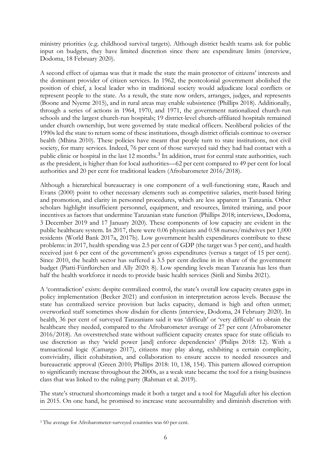ministry priorities (e.g. childhood survival targets). Although district health teams ask for public input on budgets, they have limited discretion since there are expenditure limits (interview, Dodoma, 18 February 2020).

A second effect of ujamaa was that it made the state the main protector of citizens' interests and the dominant provider of citizen services. In 1962, the postcolonial government abolished the position of chief, a local leader who in traditional society would adjudicate local conflicts or represent people to the state. As a result, the state now orders, arranges, judges, and represents (Boone and Nyeme 2015), and in rural areas may enable subsistence (Phillips 2018). Additionally, through a series of actions in 1964, 1970, and 1971, the government nationalized church-run schools and the largest church-run hospitals; 19 district-level church-affiliated hospitals remained under church ownership, but were governed by state medical officers. Neoliberal policies of the 1990s led the state to return some of these institutions, though district officials continue to oversee health (Mhina 2010). These policies have meant that people turn to state institutions, not civil society, for many services. Indeed, 76 per cent of those surveyed said they had had contact with a public clinic or hospital in the last 12 months.<sup>[3](#page-7-0)</sup> In addition, trust for central state authorities, such as the president, is higher than for local authorities—62 per cent compared to 49 per cent for local authorities and 20 per cent for traditional leaders (Afrobarometer 2016/2018).

Although a hierarchical bureaucracy is one component of a well-functioning state, Rauch and Evans (2000) point to other necessary elements such as competitive salaries, merit-based hiring and promotion, and clarity in personnel procedures, which are less apparent in Tanzania. Other scholars highlight insufficient personnel, equipment, and resources, limited training, and poor incentives as factors that undermine Tanzanian state function (Phillips 2018; interviews, Dodoma, 3 December 2019 and 17 January 2020). These components of low capacity are evident in the public healthcare system. In 2017, there were 0.06 physicians and 0.58 nurses/midwives per 1,000 residents (World Bank 2017a, 2017b). Low government health expenditures contribute to these problems: in 2017, health spending was 2.5 per cent of GDP (the target was 5 per cent), and health received just 6 per cent of the government's gross expenditures (versus a target of 15 per cent). Since 2010, the health sector has suffered a 3.5 per cent decline in its share of the government budget (Piatti-Fünfkirchen and Ally 2020: 8). Low spending levels mean Tanzania has less than half the health workforce it needs to provide basic health services (Sirili and Simba 2021).

A 'contradiction' exists: despite centralized control, the state's overall low capacity creates gaps in policy implementation (Becker 2021) and confusion in interpretation across levels. Because the state has centralized service provision but lacks capacity, demand is high and often unmet; overworked staff sometimes show disdain for clients (interview, Dodoma, 24 February 2020). In health, 36 per cent of surveyed Tanzanians said it was 'difficult' or 'very difficult' to obtain the healthcare they needed, compared to the Afrobarometer average of 27 per cent (Afrobarometer 2016/2018). An overstretched state without sufficient capacity creates space for state officials to use discretion as they 'wield power [and] enforce dependencies' (Philips 2018: 12). With a transactional logic (Camargo 2017), citizens may play along, exhibiting a certain complicity, conviviality, illicit cohabitation, and collaboration to ensure access to needed resources and bureaucratic approval (Green 2010; Phillips 2018: 10, 138, 154). This pattern allowed corruption to significantly increase throughout the 2000s, as a weak state became the tool for a rising business class that was linked to the ruling party (Rahman et al. 2019).

The state's structural shortcomings made it both a target and a tool for Magufuli after his election in 2015. On one hand, he promised to increase state accountability and diminish discretion with

<span id="page-7-0"></span><sup>&</sup>lt;sup>3</sup> The average for Afrobarometer-surveyed countries was 60 per cent.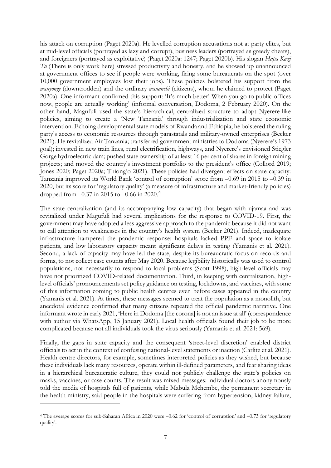his attack on corruption (Paget 2020a). He levelled corruption accusations not at party elites, but at mid-level officials (portrayed as lazy and corrupt), business leaders (portrayed as greedy cheats), and foreigners (portrayed as exploitative) (Paget 2020a: 1247; Paget 2020b). His slogan *Hapa Kazi Tu* (There is only work here) stressed productivity and honesty, and he showed up unannounced at government offices to see if people were working, firing some bureaucrats on the spot (over 10,000 government employees lost their jobs). These policies bolstered his support from the *wanyonge* (downtrodden) and the ordinary *wananchi* (citizens), whom he claimed to protect (Paget 2020a). One informant confirmed this support: 'It's much better! When you go to public offices now, people are actually working' (informal conversation, Dodoma, 2 February 2020). On the other hand, Magufuli used the state's hierarchical, centralized structure to adopt Nyerere-like policies, aiming to create a 'New Tanzania' through industrialization and state economic intervention. Echoing developmental state models of Rwanda and Ethiopia, he bolstered the ruling party's access to economic resources through parastatals and military-owned enterprises (Becker 2021). He revitalized Air Tanzania; transferred government ministries to Dodoma (Nyerere's 1973 goal); invested in new train lines, rural electrification, highways, and Nyerere's envisioned Stiegler Gorge hydroelectric dam; pushed state ownership of at least 16 per cent of shares in foreign mining projects; and moved the country's investment portfolio to the president's office (Collord 2019; Jones 2020; Paget 2020a; Thiong'o 2021). These policies had divergent effects on state capacity: Tanzania improved its World Bank 'control of corruption' score from –0.69 in 2015 to –0.39 in 2020, but its score for 'regulatory quality' (a measure of infrastructure and market-friendly policies) dropped from  $-0.37$  in 2015 to  $-0.66$  in 2020.<sup>[4](#page-8-0)</sup>

The state centralization (and its accompanying low capacity) that began with ujamaa and was revitalized under Magufuli had several implications for the response to COVID-19. First, the government may have adopted a less aggressive approach to the pandemic because it did not want to call attention to weaknesses in the country's health system (Becker 2021). Indeed, inadequate infrastructure hampered the pandemic response: hospitals lacked PPE and space to isolate patients, and low laboratory capacity meant significant delays in testing (Yamanis et al. 2021). Second, a lack of capacity may have led the state, despite its bureaucratic focus on records and forms, to not collect case counts after May 2020. Because legibility historically was used to control populations, not necessarily to respond to local problems (Scott 1998), high-level officials may have not prioritized COVID-related documentation. Third, in keeping with centralization, highlevel officials' pronouncements set policy guidance on testing, lockdowns, and vaccines, with some of this information coming to public health centres even before cases appeared in the country (Yamanis et al. 2021). At times, these messages seemed to treat the population as a monolith, but anecdotal evidence confirmed that many citizens repeated the official pandemic narrative. One informant wrote in early 2021, 'Here in Dodoma [the corona] is not an issue at all' (correspondence with author via WhatsApp, 15 January 2021). Local health officials found their job to be more complicated because not all individuals took the virus seriously (Yamanis et al. 2021: 569).

Finally, the gaps in state capacity and the consequent 'street-level discretion' enabled district officials to act in the context of confusing national-level statements or inaction (Carlitz et al. 2021). Health centre directors, for example, sometimes interpreted policies as they wished, but because these individuals lack many resources, operate within ill-defined parameters, and fear sharing ideas in a hierarchical bureaucratic culture, they could not publicly challenge the state's policies on masks, vaccines, or case counts. The result was mixed messages: individual doctors anonymously told the media of hospitals full of patients, while Mabula Mchembe, the permanent secretary in the health ministry, said people in the hospitals were suffering from hypertension, kidney failure,

<span id="page-8-0"></span><sup>4</sup> The average scores for sub-Saharan Africa in 2020 were –0.62 for 'control of corruption' and –0.73 for 'regulatory quality'.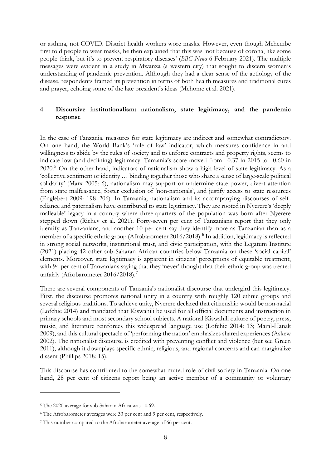or asthma, not COVID. District health workers wore masks. However, even though Mchembe first told people to wear masks, he then explained that this was 'not because of corona, like some people think, but it's to prevent respiratory diseases' (*BBC News* 6 February 2021). The multiple messages were evident in a study in Mwanza (a western city) that sought to discern women's understanding of pandemic prevention. Although they had a clear sense of the aetiology of the disease, respondents framed its prevention in terms of both health measures and traditional cures and prayer, echoing some of the late president's ideas (Mchome et al. 2021).

# **4 Discursive institutionalism: nationalism, state legitimacy, and the pandemic response**

In the case of Tanzania, measures for state legitimacy are indirect and somewhat contradictory. On one hand, the World Bank's 'rule of law' indicator, which measures confidence in and willingness to abide by the rules of society and to enforce contracts and property rights, seems to indicate low (and declining) legitimacy. Tanzania's score moved from –0.37 in 2015 to –0.60 in 2020.[5](#page-9-0) On the other hand, indicators of nationalism show a high level of state legitimacy. As a 'collective sentiment or identity … binding together those who share a sense of large-scale political solidarity' (Marx 2005: 6), nationalism may support or undermine state power, divert attention from state malfeasance, foster exclusion of 'non-nationals', and justify access to state resources (Englebert 2009: 198–206). In Tanzania, nationalism and its accompanying discourses of selfreliance and paternalism have contributed to state legitimacy. They are rooted in Nyerere's 'deeply malleable' legacy in a country where three-quarters of the population was born after Nyerere stepped down (Richey et al. 2021). Forty-seven per cent of Tanzanians report that they only identify as Tanzanians, and another 10 per cent say they identify more as Tanzanian than as a member of a specific ethnic group (Afrobarometer 201[6](#page-9-1)/2018).<sup>6</sup> In addition, legitimacy is reflected in strong social networks, institutional trust, and civic participation, with the Legatum Institute (2021) placing 42 other sub-Saharan African countries below Tanzania on these 'social capital' elements. Moreover, state legitimacy is apparent in citizens' perceptions of equitable treatment, with 94 per cent of Tanzanians saying that they 'never' thought that their ethnic group was treated unfairly (Afrobarometer 2016/2018).<sup>[7](#page-9-2)</sup>

There are several components of Tanzania's nationalist discourse that undergird this legitimacy. First, the discourse promotes national unity in a country with roughly 120 ethnic groups and several religious traditions. To achieve unity, Nyerere declared that citizenship would be non-racial (Lofchie 2014) and mandated that Kiswahili be used for all official documents and instruction in primary schools and most secondary school subjects. A national Kiswahili culture of poetry, press, music, and literature reinforces this widespread language use (Lofchie 2014: 13; Maral-Hanak 2009), and this cultural spectacle of 'performing the nation' emphasizes shared experiences (Askew 2002). The nationalist discourse is credited with preventing conflict and violence (but see Green 2011), although it downplays specific ethnic, religious, and regional concerns and can marginalize dissent (Phillips 2018: 15).

This discourse has contributed to the somewhat muted role of civil society in Tanzania. On one hand, 28 per cent of citizens report being an active member of a community or voluntary

<span id="page-9-0"></span><sup>5</sup> The 2020 average for sub-Saharan Africa was –0.69.

<span id="page-9-1"></span><sup>6</sup> The Afrobarometer averages were 33 per cent and 9 per cent, respectively.

<span id="page-9-2"></span><sup>7</sup> This number compared to the Afrobarometer average of 66 per cent.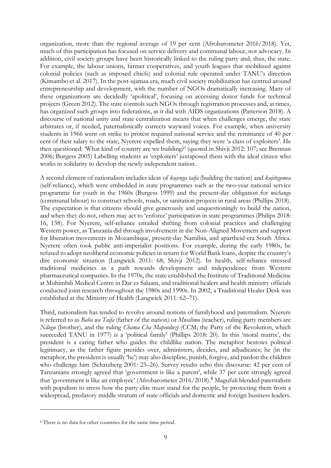organization, more than the regional average of 19 per cent (Afrobarometer 2016/2018). Yet, much of this participation has focused on service delivery and communal labour, not advocacy. In addition, civil society groups have been historically linked to the ruling party and, thus, the state. For example, the labour unions, farmer cooperatives, and youth leagues that mobilized against colonial policies (such as imposed chiefs) and colonial rule operated under TANU's direction (Kimambo et al. 2017). In the post-ujamaa era, much civil society mobilization has centred around entrepreneurship and development, with the number of NGOs dramatically increasing. Many of these organizations are decidedly 'apolitical', focusing on accessing donor funds for technical projects (Green 2012). The state controls such NGOs through registration processes and, at times, has organized such groups into federations, as it did with AIDS organizations (Patterson 2018). A discourse of national unity and state centralization means that when challenges emerge, the state arbitrates or, if needed, paternalistically corrects wayward voices. For example, when university students in 1966 went on strike to protest required national service and the remittance of 40 per cent of their salary to the state, Nyerere expelled them, saying they were 'a class of exploiters'. He then questioned: 'What kind of country are we building?' (quoted in Shivji 2012: 107; see Brennan 2006; Burgess 2005) Labelling students as 'exploiters' juxtaposed them with the ideal citizen who works in solidarity to develop the newly independent nation.

A second element of nationalism includes ideas of *kujenga taifa* (building the nation) and *kujitegemea*  (self-reliance), which were embedded in state programmes such as the two-year national service programme for youth in the 1960s (Burgess 1999) and the present-day obligation for *michango*  (communal labour) to construct schools, roads, or sanitation projects in rural areas (Phillips 2018). The expectation is that citizens should give generously and unquestioningly to build the nation, and when they do not, others may act to 'enforce' participation in state programmes (Philips 2018: 16, 138). For Nyerere, self-reliance entailed shifting from colonial practices and challenging Western power, as Tanzania did through involvement in the Non-Aligned Movement and support for liberation movements in Mozambique, present-day Namibia, and apartheid-era South Africa. Nyerere often took public anti-imperialist positions. For example, during the early 1980s, he refused to adopt neoliberal economic policies in return for World Bank loans, despite the country's dire economic situation (Langwick 2011: 68; Shivji 2012). In health, self-reliance stressed traditional medicines as a path towards development and independence from Western pharmaceutical companies. In the 1970s, the state established the Institute of Traditional Medicine at Muhimbili Medical Centre in Dar es Salaam, and traditional healers and health ministry officials conducted joint research throughout the 1980s and 1990s. In 2002, a Traditional Healer Desk was established at the Ministry of Health (Langwick 2011: 62–71).

Third, nationalism has tended to revolve around notions of familyhood and paternalism. Nyerere is referred to as *Baba wa Taifa* (father of the nation) or *Mwalimu* (teacher), ruling party members are *Ndugu* (brother), and the ruling *Chama Cha Mapinduzi* (CCM; the Party of the Revolution, which succeeded TANU in 1977) is a 'political family' (Phillips 2018: 20). In this 'moral matrix', the president is a caring father who guides the childlike nation. The metaphor bestows political legitimacy, as the father figure presides over, administers, decides, and adjudicates; he (in the metaphor, the president is usually 'he') may also discipline, punish, forgive, and pardon the children who challenge him (Schatzberg 2001: 23–26). Survey results echo this discourse: 42 per cent of Tanzanians strongly agreed that 'government is like a parent', while 37 per cent strongly agreed that 'government is like an employee' (Afrobarometer 2016/201[8](#page-10-0)).<sup>8</sup> Magufuli blended paternalism with populism to stress how the party elite must stand for the people, by protecting them from a widespread, predatory middle stratum of state officials and domestic and foreign business leaders.

<span id="page-10-0"></span><sup>8</sup> There is no data for other countries for the same time period.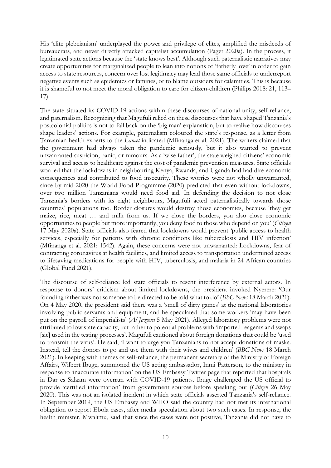His 'elite plebeianism' underplayed the power and privilege of elites, amplified the misdeeds of bureaucrats, and never directly attacked capitalist accumulation (Paget 2020a). In the process, it legitimated state actions because the 'state knows best'. Although such paternalistic narratives may create opportunities for marginalized people to lean into notions of 'fatherly love' in order to gain access to state resources, concern over lost legitimacy may lead those same officials to underreport negative events such as epidemics or famines, or to blame outsiders for calamities. This is because it is shameful to not meet the moral obligation to care for citizen-children (Philips 2018: 21, 113– 17).

The state situated its COVID-19 actions within these discourses of national unity, self-reliance, and paternalism. Recognizing that Magufuli relied on these discourses that have shaped Tanzania's postcolonial politics is not to fall back on the 'big man' explanation, but to realize how discourses shape leaders' actions. For example, paternalism coloured the state's response, as a letter from Tanzanian health experts to the *Lancet* indicated (Mfinanga et al. 2021). The writers claimed that the government had always taken the pandemic seriously, but it also wanted to prevent unwarranted suspicion, panic, or rumours. As a 'wise father', the state weighed citizens' economic survival and access to healthcare against the cost of pandemic prevention measures. State officials worried that the lockdowns in neighbouring Kenya, Rwanda, and Uganda had had dire economic consequences and contributed to food insecurity. These worries were not wholly unwarranted, since by mid-2020 the World Food Programme (2020) predicted that even without lockdowns, over two million Tanzanians would need food aid. In defending the decision to not close Tanzania's borders with its eight neighbours, Magufuli acted paternalistically towards those countries' populations too. Border closures would destroy those economies, because 'they get maize, rice, meat … and milk from us. If we close the borders, you also close economic opportunities to people but more importantly, you deny food to those who depend on you' (*Citizen* 17 May 2020a). State officials also feared that lockdowns would prevent 'public access to health services, especially for patients with chronic conditions like tuberculosis and HIV infection' (Mfinanga et al. 2021: 1542). Again, these concerns were not unwarranted: Lockdowns, fear of contracting coronavirus at health facilities, and limited access to transportation undermined access to lifesaving medications for people with HIV, tuberculosis, and malaria in 24 African countries (Global Fund 2021).

The discourse of self-reliance led state officials to resent interference by external actors. In response to donors' criticism about limited lockdowns, the president invoked Nyerere: 'Our founding father was not someone to be directed to be told what to do' (*BBC News* 18 March 2021). On 4 May 2020, the president said there was a 'smell of dirty games' at the national laboratories involving public servants and equipment, and he speculated that some workers 'may have been put on the payroll of imperialists' (*Al Jazeera* 5 May 2021). Alleged laboratory problems were not attributed to low state capacity, but rather to potential problems with 'imported reagents and swaps [sic] used in the testing processes'. Magufuli cautioned about foreign donations that could be 'used to transmit the virus'. He said, 'I want to urge you Tanzanians to not accept donations of masks. Instead, tell the donors to go and use them with their wives and children' (*BBC News* 18 March 2021). In keeping with themes of self-reliance, the permanent secretary of the Ministry of Foreign Affairs, Wilbert Ibuge, summoned the US acting ambassador, Inmi Patterson, to the ministry in response to 'inaccurate information' on the US Embassy Twitter page that reported that hospitals in Dar es Salaam were overrun with COVID-19 patients. Ibuge challenged the US official to provide 'certified information' from government sources before speaking out (*Citizen* 26 May 2020). This was not an isolated incident in which state officials asserted Tanzania's self-reliance. In September 2019, the US Embassy and WHO said the country had not met its international obligation to report Ebola cases, after media speculation about two such cases. In response, the health minister, Mwalimu, said that since the cases were not positive, Tanzania did not have to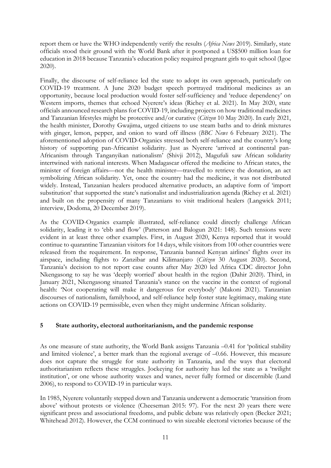report them or have the WHO independently verify the results (*Africa News* 2019). Similarly, state officials stood their ground with the World Bank after it postponed a US\$500 million loan for education in 2018 because Tanzania's education policy required pregnant girls to quit school (Igoe 2020).

Finally, the discourse of self-reliance led the state to adopt its own approach, particularly on COVID-19 treatment. A June 2020 budget speech portrayed traditional medicines as an opportunity, because local production would foster self-sufficiency and 'reduce dependency' on Western imports, themes that echoed Nyerere's ideas (Richey et al. 2021). In May 2020, state officials announced research plans for COVID-19, including projects on how traditional medicines and Tanzanian lifestyles might be protective and/or curative (*Citizen* 10 May 2020). In early 2021, the health minister, Dorothy Gwajima, urged citizens to use steam baths and to drink mixtures with ginger, lemon, pepper, and onion to ward off illness (*BBC News* 6 February 2021). The aforementioned adoption of COVID-Organics stressed both self-reliance and the country's long history of supporting pan-Africanist solidarity. Just as Nyerere 'arrived at continental pan-Africanism through Tanganyikan nationalism' (Shivji 2012), Magufuli saw African solidarity intertwined with national interests. When Madagascar offered the medicine to African states, the minister of foreign affairs—not the health minister—travelled to retrieve the donation, an act symbolizing African solidarity. Yet, once the country had the medicine, it was not distributed widely. Instead, Tanzanian healers produced alternative products, an adaptive form of 'import substitution' that supported the state's nationalist and industrialization agenda (Richey et al. 2021) and built on the propensity of many Tanzanians to visit traditional healers (Langwick 2011; interview, Dodoma, 20 December 2019).

As the COVID-Organics example illustrated, self-reliance could directly challenge African solidarity, leading it to 'ebb and flow' (Patterson and Balogun 2021: 148). Such tensions were evident in at least three other examples. First, in August 2020, Kenya reported that it would continue to quarantine Tanzanian visitors for 14 days, while visitors from 100 other countries were released from the requirement. In response, Tanzania banned Kenyan airlines' flights over its airspace, including flights to Zanzibar and Kilimanjaro (*Citizen* 30 August 2020). Second, Tanzania's decision to not report case counts after May 2020 led Africa CDC director John Nkengasong to say he was 'deeply worried' about health in the region (Dahir 2020). Third, in January 2021, Nkengasong situated Tanzania's stance on the vaccine in the context of regional health: 'Not cooperating will make it dangerous for everybody' (Makoni 2021). Tanzanian discourses of nationalism, familyhood, and self-reliance help foster state legitimacy, making state actions on COVID-19 permissible, even when they might undermine African solidarity.

## **5 State authority, electoral authoritarianism, and the pandemic response**

As one measure of state authority, the World Bank assigns Tanzania –0.41 for 'political stability and limited violence', a better mark than the regional average of –0.66. However, this measure does not capture the struggle for state authority in Tanzania, and the ways that electoral authoritarianism reflects these struggles. Jockeying for authority has led the state as a 'twilight institution', or one whose authority waxes and wanes, never fully formed or discernible (Lund 2006), to respond to COVID-19 in particular ways.

In 1985, Nyerere voluntarily stepped down and Tanzania underwent a democratic 'transition from above' without protests or violence (Cheeseman 2015: 97). For the next 20 years there were significant press and associational freedoms, and public debate was relatively open (Becker 2021; Whitehead 2012). However, the CCM continued to win sizeable electoral victories because of the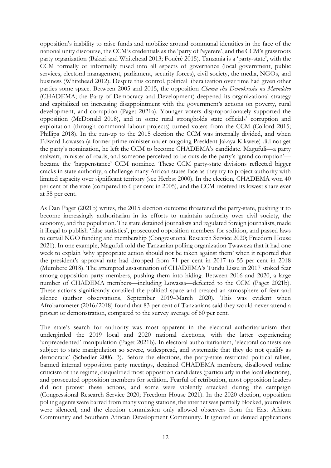opposition's inability to raise funds and mobilize around communal identities in the face of the national unity discourse, the CCM's credentials as the 'party of Nyerere', and the CCM's grassroots party organization (Bakari and Whitehead 2013; Fouéré 2015). Tanzania is a 'party-state', with the CCM formally or informally fused into all aspects of governance (local government, public services, electoral management, parliament, security forces), civil society, the media, NGOs, and business (Whitehead 2012). Despite this control, political liberalization over time had given other parties some space. Between 2005 and 2015, the opposition *Chama cha Demokrasia na Maendeleo* (CHADEMA; the Party of Democracy and Development) deepened its organizational strategy and capitalized on increasing disappointment with the government's actions on poverty, rural development, and corruption (Paget 2021a). Younger voters disproportionately supported the opposition (McDonald 2018), and in some rural strongholds state officials' corruption and exploitation (through communal labour projects) turned voters from the CCM (Collord 2015; Phillips 2018). In the run-up to the 2015 election the CCM was internally divided, and when Edward Lowassa (a former prime minister under outgoing President Jakaya Kikwete) did not get the party's nomination, he left the CCM to become CHADEMA's candidate. Magufuli—a party stalwart, minister of roads, and someone perceived to be outside the party's 'grand corruption' became the 'happenstance' CCM nominee. These CCM party-state divisions reflected bigger cracks in state authority, a challenge many African states face as they try to project authority with limited capacity over significant territory (see Herbst 2000). In the election, CHADEMA won 40 per cent of the vote (compared to 6 per cent in 2005), and the CCM received its lowest share ever at 58 per cent.

As Dan Paget (2021b) writes, the 2015 election outcome threatened the party-state, pushing it to become increasingly authoritarian in its efforts to maintain authority over civil society, the economy, and the population. The state detained journalists and regulated foreign journalists, made it illegal to publish 'false statistics', prosecuted opposition members for sedition, and passed laws to curtail NGO funding and membership (Congressional Research Service 2020; Freedom House 2021). In one example, Magufuli told the Tanzanian polling organization Twaweza that it had one week to explain 'why appropriate action should not be taken against them' when it reported that the president's approval rate had dropped from 71 per cent in 2017 to 55 per cent in 2018 (Mumbere 2018). The attempted assassination of CHADEMA's Tundu Lissu in 2017 stoked fear among opposition party members, pushing them into hiding. Between 2016 and 2020, a large number of CHADEMA members—including Lowassa—defected to the CCM (Paget 2021b). These actions significantly curtailed the political space and created an atmosphere of fear and silence (author observations, September 2019–March 2020). This was evident when Afrobarometer (2016/2018) found that 83 per cent of Tanzanians said they would never attend a protest or demonstration, compared to the survey average of 60 per cent.

The state's search for authority was most apparent in the electoral authoritarianism that undergirded the 2019 local and 2020 national elections, with the latter experiencing 'unprecedented' manipulation (Paget 2021b). In electoral authoritarianism, 'electoral contests are subject to state manipulation so severe, widespread, and systematic that they do not qualify as democratic' (Schedler 2006: 3). Before the elections, the party-state restricted political rallies, banned internal opposition party meetings, detained CHADEMA members, disallowed online criticism of the regime, disqualified most opposition candidates (particularly in the local elections), and prosecuted opposition members for sedition. Fearful of retribution, most opposition leaders did not protest these actions, and some were violently attacked during the campaign (Congressional Research Service 2020; Freedom House 2021). In the 2020 election, opposition polling agents were barred from many voting stations, the internet was partially blocked, journalists were silenced, and the election commission only allowed observers from the East African Community and Southern African Development Community. It ignored or denied applications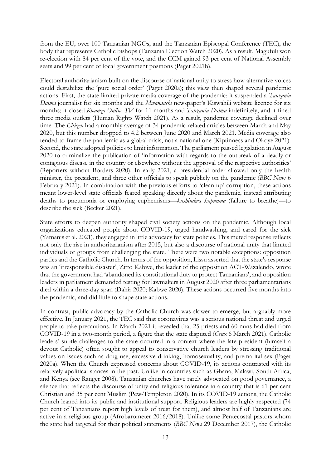from the EU, over 100 Tanzanian NGOs, and the Tanzanian Episcopal Conference (TEC), the body that represents Catholic bishops (Tanzania Election Watch 2020). As a result, Magufuli won re-election with 84 per cent of the vote, and the CCM gained 93 per cent of National Assembly seats and 99 per cent of local government positions (Paget 2021b).

Electoral authoritarianism built on the discourse of national unity to stress how alternative voices could destabilize the 'pure social order' (Paget 2020a); this view then shaped several pandemic actions. First, the state limited private media coverage of the pandemic: it suspended a *Tanzania Daima* journalist for six months and the *Mwananchi* newspaper's Kiswahili website licence for six months; it closed *Kwanza Online TV* for 11 months and *Tanzania Daima* indefinitely; and it fined three media outlets (Human Rights Watch 2021). As a result, pandemic coverage declined over time. The *Citizen* had a monthly average of 34 pandemic-related articles between March and May 2020, but this number dropped to 4.2 between June 2020 and March 2021. Media coverage also tended to frame the pandemic as a global crisis, not a national one (Kiptinness and Okoye 2021). Second, the state adopted policies to limit information. The parliament passed legislation in August 2020 to criminalize the publication of 'information with regards to the outbreak of a deadly or contagious disease in the country or elsewhere without the approval of the respective authorities' (Reporters without Borders 2020). In early 2021, a presidential order allowed only the health minister, the president, and three other officials to speak publicly on the pandemic (*BBC News* 6 February 2021). In combination with the previous efforts to 'clean up' corruption, these actions meant lower-level state officials feared speaking directly about the pandemic, instead attributing deaths to pneumonia or employing euphemisms—*kushindwa kupumua* (failure to breathe)—to describe the sick (Becker 2021).

State efforts to deepen authority shaped civil society actions on the pandemic. Although local organizations educated people about COVID-19, urged handwashing, and cared for the sick (Yamanis et al. 2021), they engaged in little advocacy for state policies. This muted response reflects not only the rise in authoritarianism after 2015, but also a discourse of national unity that limited individuals or groups from challenging the state. There were two notable exceptions: opposition parties and the Catholic Church. In terms of the opposition, Lissu asserted that the state's response was an 'irresponsible disaster', Zitto Kabwe, the leader of the opposition ACT-Wazalendo, wrote that the government had 'abandoned its constitutional duty to protect Tanzanians', and opposition leaders in parliament demanded testing for lawmakers in August 2020 after three parliamentarians died within a three-day span (Dahir 2020; Kabwe 2020). These actions occurred five months into the pandemic, and did little to shape state actions.

In contrast, public advocacy by the Catholic Church was slower to emerge, but arguably more effective. In January 2021, the TEC said that coronavirus was a serious national threat and urged people to take precautions. In March 2021 it revealed that 25 priests and 60 nuns had died from COVID-19 in a two-month period, a figure that the state disputed (*Crux* 6 March 2021). Catholic leaders' subtle challenges to the state occurred in a context where the late president (himself a devout Catholic) often sought to appeal to conservative church leaders by stressing traditional values on issues such as drug use, excessive drinking, homosexuality, and premarital sex (Paget 2020a). When the Church expressed concerns about COVID-19, its actions contrasted with its relatively apolitical stances in the past. Unlike in countries such as Ghana, Malawi, South Africa, and Kenya (see Ranger 2008), Tanzanian churches have rarely advocated on good governance, a silence that reflects the discourse of unity and religious tolerance in a country that is 61 per cent Christian and 35 per cent Muslim (Pew-Templeton 2020). In its COVID-19 actions, the Catholic Church leaned into its public and institutional support. Religious leaders are highly respected (74 per cent of Tanzanians report high levels of trust for them), and almost half of Tanzanians are active in a religious group (Afrobarometer 2016/2018). Unlike some Pentecostal pastors whom the state had targeted for their political statements (*BBC News* 29 December 2017), the Catholic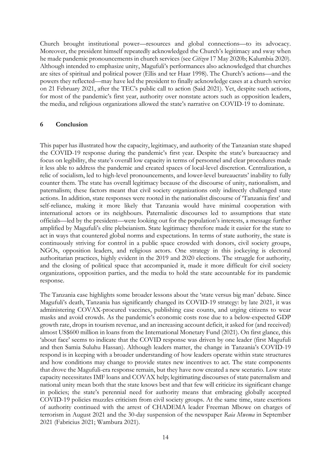Church brought institutional power—resources and global connections—to its advocacy. Moreover, the president himself repeatedly acknowledged the Church's legitimacy and sway when he made pandemic pronouncements in church services (see *Citizen* 17 May 2020b; Kalumbia 2020). Although intended to emphasize unity, Magufuli's performances also acknowledged that churches are sites of spiritual and political power (Ellis and ter Haar 1998). The Church's actions—and the powers they reflected—may have led the president to finally acknowledge cases at a church service on 21 February 2021, after the TEC's public call to action (Said 2021). Yet, despite such actions, for most of the pandemic's first year, authority over nonstate actors such as opposition leaders, the media, and religious organizations allowed the state's narrative on COVID-19 to dominate.

## **6 Conclusion**

This paper has illustrated how the capacity, legitimacy, and authority of the Tanzanian state shaped the COVID-19 response during the pandemic's first year. Despite the state's bureaucracy and focus on legibility, the state's overall low capacity in terms of personnel and clear procedures made it less able to address the pandemic and created spaces of local-level discretion. Centralization, a relic of socialism, led to high-level pronouncements, and lower-level bureaucrats' inability to fully counter them. The state has overall legitimacy because of the discourse of unity, nationalism, and paternalism; these factors meant that civil society organizations only indirectly challenged state actions. In addition, state responses were rooted in the nationalist discourse of 'Tanzania first' and self-reliance, making it more likely that Tanzania would have minimal cooperation with international actors or its neighbours. Paternalistic discourses led to assumptions that state officials—led by the president—were looking out for the population's interests, a message further amplified by Magufuli's elite plebeianism. State legitimacy therefore made it easier for the state to act in ways that countered global norms and expectations. In terms of state authority, the state is continuously striving for control in a public space crowded with donors, civil society groups, NGOs, opposition leaders, and religious actors. One strategy in this jockeying is electoral authoritarian practices, highly evident in the 2019 and 2020 elections. The struggle for authority, and the closing of political space that accompanied it, made it more difficult for civil society organizations, opposition parties, and the media to hold the state accountable for its pandemic response.

The Tanzania case highlights some broader lessons about the 'state versus big man' debate. Since Magufuli's death, Tanzania has significantly changed its COVID-19 strategy: by late 2021, it was administering COVAX-procured vaccines, publishing case counts, and urging citizens to wear masks and avoid crowds. As the pandemic's economic costs rose due to a below-expected GDP growth rate, drops in tourism revenue, and an increasing account deficit, it asked for (and received) almost US\$600 million in loans from the International Monetary Fund (2021). On first glance, this 'about face' seems to indicate that the COVID response was driven by one leader (first Magufuli and then Samia Suluhu Hassan). Although leaders matter, the change in Tanzania's COVID-19 respond is in keeping with a broader understanding of how leaders operate within state structures and how conditions may change to provide states new incentives to act. The state components that drove the Magufuli-era response remain, but they have now created a new scenario. Low state capacity necessitates IMF loans and COVAX help; legitimating discourses of state paternalism and national unity mean both that the state knows best and that few will criticize its significant change in policies; the state's perennial need for authority means that embracing globally accepted COVID-19 policies muzzles criticism from civil society groups. At the same time, state exertions of authority continued with the arrest of CHADEMA leader Freeman Mbowe on charges of terrorism in August 2021 and the 30-day suspension of the newspaper *Raia Mwema* in September 2021 (Fabricius 2021; Wambura 2021).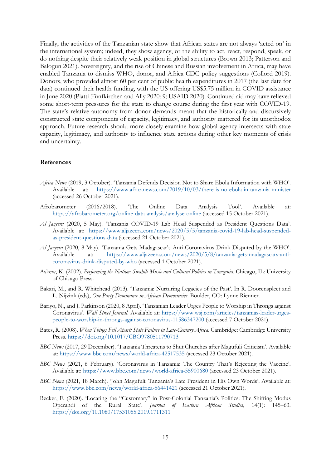Finally, the activities of the Tanzanian state show that African states are not always 'acted on' in the international system; indeed, they show agency, or the ability to act, react, respond, speak, or do nothing despite their relatively weak position in global structures (Brown 2013; Patterson and Balogun 2021). Sovereignty, and the rise of Chinese and Russian involvement in Africa, may have enabled Tanzania to dismiss WHO, donor, and Africa CDC policy suggestions (Collord 2019). Donors, who provided almost 60 per cent of public health expenditures in 2017 (the last date for data) continued their health funding, with the US offering US\$5.75 million in COVID assistance in June 2020 (Piatti-Fünfkirchen and Ally 2020: 9; USAID 2020). Continued aid may have relieved some short-term pressures for the state to change course during the first year with COVID-19. The state's relative autonomy from donor demands meant that the historically and discursively constructed state components of capacity, legitimacy, and authority mattered for its unorthodox approach. Future research should more closely examine how global agency intersects with state capacity, legitimacy, and authority to influence state actions during other key moments of crisis and uncertainty.

#### **References**

- *Africa News* (2019, 3 October). 'Tanzania Defends Decision Not to Share Ebola Information with WHO'. Available at: <https://www.africanews.com/2019/10/03/there-is-no-ebola-in-tanzania-minister> (accessed 26 October 2021).
- Afrobarometer (2016/2018). 'The Online Data Analysis Tool'. Available at: <https://afrobarometer.org/online-data-analysis/analyse-online> (accessed 15 October 2021).
- *Al Jazeera* (2020, 5 May). 'Tanzania COVID-19 Lab Head Suspended as President Questions Data'. Available at: [https://www.aljazeera.com/news/2020/5/5/tanzania-covid-19-lab-head-suspended](https://www.aljazeera.com/news/2020/5/5/tanzania-covid-19-lab-head-suspended-as-president-questions-data)[as-president-questions-data](https://www.aljazeera.com/news/2020/5/5/tanzania-covid-19-lab-head-suspended-as-president-questions-data) (accessed 21 October 2021).
- *Al Jazeera* (2020, 8 May). 'Tanzania Gets Madagascar's Anti-Coronavirus Drink Disputed by the WHO'. Available at: [https://www.aljazeera.com/news/2020/5/8/tanzania-gets-madagascars-anti](https://www.aljazeera.com/news/2020/5/8/tanzania-gets-madagascars-anti-coronavirus-drink-disputed-by-who)[coronavirus-drink-disputed-by-who](https://www.aljazeera.com/news/2020/5/8/tanzania-gets-madagascars-anti-coronavirus-drink-disputed-by-who) (accessed 1 October 2021).
- Askew, K. (2002). *Performing the Nation: Swahili Music and Cultural Politics in Tanzania*. Chicago, IL: University of Chicago Press.
- Bakari, M., and R. Whitehead (2013). 'Tanzania: Nurturing Legacies of the Past'. In R. Doorenspleet and L. Nijzink (eds), *One Party Dominance in African Democracies*. Boulder, CO: Lynne Rienner.
- Bariyo, N., and J. Parkinson (2020, 8 April). 'Tanzanian Leader Urges People to Worship in Throngs against Coronavirus'. *Wall Street Journal*. Available at: [https://www.wsj.com/articles/tanzanias-leader-urges](https://www.wsj.com/articles/tanzanias-leader-urges-people-to-worship-in-throngs-against-coronavirus-11586347200)[people-to-worship-in-throngs-against-coronavirus-11586347200](https://www.wsj.com/articles/tanzanias-leader-urges-people-to-worship-in-throngs-against-coronavirus-11586347200) (accessed 7 October 2021).
- Bates, R. (2008). *When Things Fell Apart: State Failure in Late-Century Africa*. Cambridge: Cambridge University Press.<https://doi.org/10.1017/CBO9780511790713>
- *BBC News* (2017, 29 December). 'Tanzania Threatens to Shut Churches after Magufuli Criticism'. Available at:<https://www.bbc.com/news/world-africa-42517535> (accessed 23 October 2021).
- *BBC News* (2021, 6 February). 'Coronavirus in Tanzania: The Country That's Rejecting the Vaccine'. Available at:<https://www.bbc.com/news/world-africa-55900680> (accessed 23 October 2021).
- *BBC News* (2021, 18 March). 'John Magufuli: Tanzania's Late President in His Own Words'. Available at: <https://www.bbc.com/news/world-africa-56441421> (accessed 21 October 2021).
- Becker, F. (2020). 'Locating the "Customary" in Post-Colonial Tanzania's Politics: The Shifting Modus Operandi of the Rural State'. *Journal of Eastern African Studies*, 14(1): 145–63. <https://doi.org/10.1080/17531055.2019.1711311>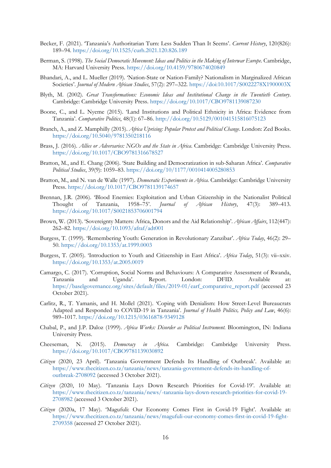- Becker, F. (2021). 'Tanzania's Authoritarian Turn: Less Sudden Than It Seems'. *Current History*, 120(826): 189–94.<https://doi.org/10.1525/curh.2021.120.826.189>
- Berman, S. (1998). *The Social Democratic Movement: Ideas and Politics in the Making of Interwar Europe*. Cambridge, MA: Harvard University Press. <https://doi.org/10.4159/9780674020849>
- Bhandari, A., and L. Mueller (2019). 'Nation-State or Nation-Family? Nationalism in Marginalized African Societies'. *Journal of Modern African Studies*, 57(2): 297–322.<https://doi:10.1017/S0022278X1900003X>
- Blyth, M. (2002). *Great Transformations: Economic Ideas and Institutional Change in the Twentieth Century*. Cambridge: Cambridge University Press. <https://doi.org/10.1017/CBO9781139087230>
- Boone, C., and L. Nyeme (2015). 'Land Institutions and Political Ethnicity in Africa: Evidence from Tanzania'. *Comparative Politics*, 48(1): 67–86.<http://doi.org/10.5129/001041515816075123>
- Branch, A., and Z. Mamphilly (2015). *Africa Uprising: Popular Protest and Political Change*. London: Zed Books. <https://doi.org/10.5040/9781350218116>
- Brass, J. (2016). *Allies or Adversaries: NGOs and the State in Africa*. Cambridge: Cambridge University Press. <https://doi.org/10.1017/CBO9781316678527>
- Bratton, M., and E. Chang (2006). 'State Building and Democratization in sub-Saharan Africa'. *Comparative Political Studies*, 39(9): 1059–83.<https://doi.org/10/1177/0010414005280853>
- Bratton, M., and N. van de Walle (1997). *Democratic Experiments in Africa*. Cambridge: Cambridge University Press. <https://doi.org/10.1017/CBO9781139174657>
- Brennan, J.R. (2006). 'Blood Enemies: Exploitation and Urban Citizenship in the Nationalist Political Thought of Tanzania, 1958–75'. *Journal of African History*, 47(3): 389–413. <https://doi.org/10.1017/S0021853706001794>
- Brown, W. (2013). 'Sovereignty Matters: Africa, Donors and the Aid Relationship'. *African Affairs*, 112(447): 262–82.<https://doi.org/10.1093/afraf/adt001>
- Burgess, T. (1999). 'Remembering Youth: Generation in Revolutionary Zanzibar'. *Africa Today*, 46(2): 29– 50.<https://doi.org/10.1353/at.1999.0003>
- Burgess, T. (2005). 'Introduction to Youth and Citizenship in East Africa'. *Africa Today*, 51(3): vii–xxiv. <https://doi.org/10.1353/at.2005.0019>
- Camargo, C. (2017). 'Corruption, Social Norms and Behaviours: A Comparative Assessment of Rwanda, Tanzania and Uganda'. Report. London: DFID. Available at: [https://baselgovernance.org/sites/default/files/2019-01/earf\\_comparative\\_report.pdf](https://baselgovernance.org/sites/default/files/2019-01/earf_comparative_report.pdf) (accessed 23 October 2021).
- Carlitz, R., T. Yamanis, and H. Mollel (2021). 'Coping with Denialism: How Street-Level Bureaucrats Adapted and Responded to COVID-19 in Tanzania'. *Journal of Health Politics, Policy and Law*, 46(6): 989–1017. <https://doi.org/10.1215/03616878-9349128>
- Chabal, P., and J.P. Daloz (1999). *Africa Works: Disorder as Political Instrument.* Bloomington, IN: Indiana University Press.
- Cheeseman, N. (2015). *Democracy in Africa*. Cambridge: Cambridge University Press. <https://doi.org/10.1017/CBO9781139030892>
- *Citizen* (2020, 23 April). 'Tanzania Government Defends Its Handling of Outbreak'. Available at: [https://www.thecitizen.co.tz/tanzania/news/tanzania-government-defends-its-handling-of](https://www.thecitizen.co.tz/tanzania/news/tanzania-government-defends-its-handling-of-outbreak-2708092)[outbreak-2708092](https://www.thecitizen.co.tz/tanzania/news/tanzania-government-defends-its-handling-of-outbreak-2708092) (accessed 3 October 2021).
- *Citizen* (2020, 10 May). 'Tanzania Lays Down Research Priorities for Covid-19'. Available at: [https://www.thecitizen.co.tz/tanzania/news/-tanzania-lays-down-research-priorities-for-covid-19-](https://www.thecitizen.co.tz/tanzania/news/-tanzania-lays-down-research-priorities-for-covid-19-2708982) [2708982](https://www.thecitizen.co.tz/tanzania/news/-tanzania-lays-down-research-priorities-for-covid-19-2708982) (accessed 3 October 2021).
- *Citizen* (2020a, 17 May). 'Magufuli: Our Economy Comes First in Covid-19 Fight'. Available at: [https://www.thecitizen.co.tz/tanzania/news/magufuli-our-economy-comes-first-in-covid-19-fight-](https://www.thecitizen.co.tz/tanzania/news/magufuli-our-economy-comes-first-in-covid-19-fight-2709358)[2709358](https://www.thecitizen.co.tz/tanzania/news/magufuli-our-economy-comes-first-in-covid-19-fight-2709358) (accessed 27 October 2021).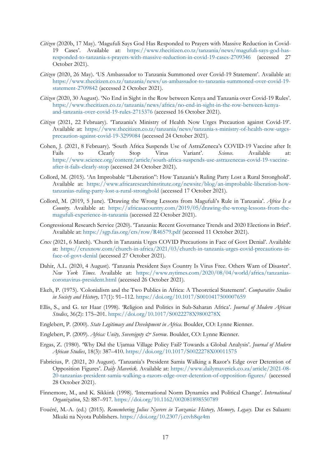- *Citizen* (2020b, 17 May). 'Magufuli Says God Has Responded to Prayers with Massive Reduction in Covid-19 Cases'. Available at: [https://www.thecitizen.co.tz/tanzania/news/magufuli-says-god-has](https://www.thecitizen.co.tz/tanzania/news/magufuli-says-god-has-responded-to-tanzania-s-prayers-with-massive-reduction-in-covid-19-cases-2709346)[responded-to-tanzania-s-prayers-with-massive-reduction-in-covid-19-cases-2709346](https://www.thecitizen.co.tz/tanzania/news/magufuli-says-god-has-responded-to-tanzania-s-prayers-with-massive-reduction-in-covid-19-cases-2709346) (accessed 27 October 2021).
- *Citizen* (2020, 26 May). 'US Ambassador to Tanzania Summoned over Covid-19 Statement'. Available at: [https://www.thecitizen.co.tz/tanzania/news/us-ambassador-to-tanzania-summoned-over-covid-19](https://www.thecitizen.co.tz/tanzania/news/us-ambassador-to-tanzania-summoned-over-covid-19-statement-2709842) [statement-2709842](https://www.thecitizen.co.tz/tanzania/news/us-ambassador-to-tanzania-summoned-over-covid-19-statement-2709842) (accessed 2 October 2021).
- *Citizen* (2020, 30 August). 'No End in Sight in the Row between Kenya and Tanzania over Covid-19 Rules'. [https://www.thecitizen.co.tz/tanzania/news/africa/no-end-in-sight-in-the-row-between-kenya](https://www.thecitizen.co.tz/tanzania/news/africa/no-end-in-sight-in-the-row-between-kenya-and-tanzania-over-covid-19-rules-2715376)[and-tanzania-over-covid-19-rules-2715376](https://www.thecitizen.co.tz/tanzania/news/africa/no-end-in-sight-in-the-row-between-kenya-and-tanzania-over-covid-19-rules-2715376) (accessed 16 October 2021).
- *Citizen* (2021, 22 February). 'Tanzania's Ministry of Health Now Urges Precaution against Covid-19'. Available at: [https://www.thecitizen.co.tz/tanzania/news/tanzania-s-ministry-of-health-now-urges](https://www.thecitizen.co.tz/tanzania/news/tanzania-s-ministry-of-health-now-urges-precaution-against-covid-19-3299084)[precaution-against-covid-19-3299084](https://www.thecitizen.co.tz/tanzania/news/tanzania-s-ministry-of-health-now-urges-precaution-against-covid-19-3299084) (accessed 24 October 2021).
- Cohen, J. (2021, 8 February). 'South Africa Suspends Use of AstraZeneca's COVID-19 Vaccine after It Fails to Clearly Stop Virus Variant'. *Science*. Available at: [https://www.science.org/content/article/south-africa-suspends-use-astrazenecas-covid-19-vaccine](https://www.science.org/content/article/south-africa-suspends-use-astrazenecas-covid-19-vaccine-after-it-fails-clearly-stop)[after-it-fails-clearly-stop](https://www.science.org/content/article/south-africa-suspends-use-astrazenecas-covid-19-vaccine-after-it-fails-clearly-stop) (accessed 24 October 2021).
- Collord, M. (2015). 'An Improbable "Liberation": How Tanzania's Ruling Party Lost a Rural Stronghold'. Available at: [https://www.africaresearchinstitute.org/newsite/blog/an-improbable-liberation-how](https://www.africaresearchinstitute.org/newsite/blog/an-improbable-liberation-how-tanzanias-ruling-party-lost-a-rural-stronghold)[tanzanias-ruling-party-lost-a-rural-stronghold](https://www.africaresearchinstitute.org/newsite/blog/an-improbable-liberation-how-tanzanias-ruling-party-lost-a-rural-stronghold) (accessed 17 October 2021).
- Collord, M. (2019, 5 June). 'Drawing the Wrong Lessons from Magufuli's Rule in Tanzania'. *Africa Is a Country*. Available at: [https://africasacountry.com/2019/05/drawing-the-wrong-lessons-from-the](https://africasacountry.com/2019/05/drawing-the-wrong-lessons-from-the-magufuli-experience-in-tanzania)[magufuli-experience-in-tanzania](https://africasacountry.com/2019/05/drawing-the-wrong-lessons-from-the-magufuli-experience-in-tanzania) (accessed 22 October 2021).
- Congressional Research Service (2020). 'Tanzania: Recent Governance Trends and 2020 Elections in Brief'. Available at:<https://sgp.fas.org/crs/row/R46579.pdf> (accessed 11 October 2021).
- *Crux* (2021, 6 March). 'Church in Tanzania Urges COVID Precautions in Face of Govt Denial'. Available at: [https://cruxnow.com/church-in-africa/2021/03/church-in-tanzania-urges-covid-precautions-in](https://cruxnow.com/church-in-africa/2021/03/church-in-tanzania-urges-covid-precautions-in-face-of-govt-denial)[face-of-govt-denial](https://cruxnow.com/church-in-africa/2021/03/church-in-tanzania-urges-covid-precautions-in-face-of-govt-denial) (accessed 27 October 2021).
- Dahir, A.L. (2020, 4 August). 'Tanzania President Says Country Is Virus Free. Others Warn of Disaster'. *New York Times*. Available at: [https://www.nytimes.com/2020/08/04/world/africa/tanzanias](https://www.nytimes.com/2020/08/04/world/africa/tanzanias-coronavirus-president.html)[coronavirus-president.html](https://www.nytimes.com/2020/08/04/world/africa/tanzanias-coronavirus-president.html) (accessed 26 October 2021).
- Ekeh, P. (1975). 'Colonialism and the Two Publics in Africa: A Theoretical Statement'. *Comparative Studies in Society and History,* 17(1): 91–112. <https://doi.org/10.1017/S0010417500007659>
- Ellis, S., and G. ter Haar (1998). 'Religion and Politics in Sub-Saharan Africa'. *Journal of Modern African Studies*, 36(2): 175–201.<https://doi.org/10.1017/S0022278X9800278X>
- Englebert, P. (2000). *State Legitimacy and Development in Africa*. Boulder, CO: Lynne Rienner.
- Englebert, P. (2009). *Africa: Unity, Sovereignty & Sorrow.* Boulder, CO: Lynne Rienner.
- Ergas, Z. (1980). 'Why Did the Ujamaa Village Policy Fail? Towards a Global Analysis'. *Journal of Modern African Studies*, 18(3): 387–410.<https://doi.org/10.1017/S0022278X00011575>
- Fabricius, P. (2021, 20 August). 'Tanzania's President Samia Walking a Razor's Edge over Detention of Opposition Figures'. *Daily Maverick*. Available at: [https://www.dailymaverick.co.za/article/2021-08-](https://www.dailymaverick.co.za/article/2021-08-20-tanzanias-president-samia-walking-a-razors-edge-over-detention-of-opposition-figures/) [20-tanzanias-president-samia-walking-a-razors-edge-over-detention-of-opposition-figures/](https://www.dailymaverick.co.za/article/2021-08-20-tanzanias-president-samia-walking-a-razors-edge-over-detention-of-opposition-figures/) (accessed 28 October 2021).
- Finnemore, M., and K. Sikkink (1998). 'International Norm Dynamics and Political Change'. *International Organization*, 52: 887–917. <https://doi.org/10.1162/002081898550789>
- Fouéré, M.-A. (ed.) (2015). *Remembering Julius Nyerere in Tanzania: History, Memory, Legacy*. Dar es Salaam: Mkuki na Nyota Publishers.<https://doi.org/10.2307/j.ctvh8qz4m>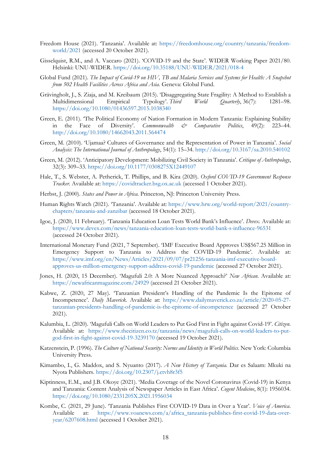- Freedom House (2021). 'Tanzania'. Available at: [https://freedomhouse.org/country/tanzania/freedom](https://freedomhouse.org/country/tanzania/freedom-world/2021)[world/2021](https://freedomhouse.org/country/tanzania/freedom-world/2021) (accessed 20 October 2021).
- Gisselquist, R.M., and A. Vaccaro (2021). 'COVID-19 and the State'. WIDER Working Paper 2021/80. Helsinki: UNU-WIDER. <https://doi.org/10.35188/UNU-WIDER/2021/018-4>
- Global Fund (2021). *The Impact of Covid-19 on HIV, TB and Malaria Services and Systems for Health: A Snapshot from 502 Health Facilities Across Africa and Asia*. Geneva: Global Fund.
- Grävingholt, J., S. Ziaja, and M. Kreibaum (2015). 'Disaggregating State Fragility: A Method to Establish a Multidimensional Empirical Typology'. *Third World Quarterly*, 36(7): 1281–98. <https://doi.org/10.1080/01436597.2015.1038340>
- Green, E. (2011). 'The Political Economy of Nation Formation in Modern Tanzania: Explaining Stability in the Face of Diversity'. *Commonwealth & Comparative Politics*, 49(2): 223–44. <http://doi.org/10.1080/14662043.2011.564474>
- Green, M. (2010). 'Ujamaa? Cultures of Governance and the Representation of Power in Tanzania'. *Social Analysis: The International Journal of Anthropology*, 54(1): 15–34.<http://doi.org/10.3167/sa.2010.540102>
- Green, M. (2012). 'Anticipatory Development: Mobilizing Civil Society in Tanzania'. *Critique of Anthropology*, 32(3): 309–33.<https://doi.org/10.1177/0308275X12449107>
- Hale, T., S. Webster, A. Petherick, T. Phillips, and B. Kira (2020). *Oxford COVID-19 Government Response Tracker.* Available at: <https://covidtracker.bsg.ox.ac.uk> (accessed 1 October 2021).
- Herbst, J. (2000). *States and Power in Africa*. Princeton, NJ: Princeton University Press.
- Human Rights Watch (2021). 'Tanzania'. Available at: [https://www.hrw.org/world-report/2021/country](https://www.hrw.org/world-report/2021/country-chapters/tanzania-and-zanzibar)[chapters/tanzania-and-zanzibar](https://www.hrw.org/world-report/2021/country-chapters/tanzania-and-zanzibar) (accessed 18 October 2021).
- Igoe, J. (2020, 11 February). 'Tanzania Education Loan Tests World Bank's Influence'. *Devex*. Available at: <https://www.devex.com/news/tanzania-education-loan-tests-world-bank-s-influence-96531> (accessed 24 October 2021).
- International Monetary Fund (2021, 7 September). 'IMF Executive Board Approves US\$567.25 Million in Emergency Support to Tanzania to Address the COVID-19 Pandemic'. Available at: [https://www.imf.org/en/News/Articles/2021/09/07/pr21256-tanzania-imf-executive-board](https://www.imf.org/en/News/Articles/2021/09/07/pr21256-tanzania-imf-executive-board-approves-us-million-emergency-support-address-covid-19-pandemic)[approves-us-million-emergency-support-address-covid-19-pandemic](https://www.imf.org/en/News/Articles/2021/09/07/pr21256-tanzania-imf-executive-board-approves-us-million-emergency-support-address-covid-19-pandemic) (accessed 27 October 2021).
- Jones, H. (2020, 15 December). 'Magufuli 2.0: A More Nuanced Approach?' *New African*. Available at: <https://newafricanmagazine.com/24929> (accessed 21 October 2021).
- Kabwe, Z. (2020, 27 May). 'Tanzanian President's Handling of the Pandemic Is the Epitome of Incompetence'. *Daily Maverick.* Available at: [https://www.dailymaverick.co.za/article/2020-05-27](https://www.dailymaverick.co.za/article/2020-05-27-tanzanian-presidents-handling-of-pandemic-is-the-epitome-of-incompetence) [tanzanian-presidents-handling-of-pandemic-is-the-epitome-of-incompetence](https://www.dailymaverick.co.za/article/2020-05-27-tanzanian-presidents-handling-of-pandemic-is-the-epitome-of-incompetence) (accessed 27 October 2021).
- Kalumbia, L. (2020). 'Magufuli Calls on World Leaders to Put God First in Fight against Covid-19'. *Citizen*. Available at: [https://www.thecitizen.co.tz/tanzania/news/magufuli-calls-on-world-leaders-to-put](https://www.thecitizen.co.tz/tanzania/news/magufuli-calls-on-world-leaders-to-put-god-first-in-fight-against-covid-19-3239170)[god-first-in-fight-against-covid-19-3239170](https://www.thecitizen.co.tz/tanzania/news/magufuli-calls-on-world-leaders-to-put-god-first-in-fight-against-covid-19-3239170) (accessed 19 October 2021).
- Katzenstein, P. (1996). *The Culture of National Security: Norms and Identity in World Politics*. New York: Columbia University Press.
- Kimambo, I., G. Maddox, and S. Nyuanto (2017). *A New History of Tanzania*. Dar es Salaam: Mkuki na Nyota Publishers. <https://doi.org/10.2307/j.ctvh8r3f5>
- Kiptinness, E.M., and J.B. Okoye (2021). 'Media Coverage of the Novel Coronavirus (Covid-19) in Kenya and Tanzania: Content Analysis of Newspaper Articles in East Africa'. *Cogent Medicine*, 8(1): 1956034. <https://doi.org/10.1080/2331205X.2021.1956034>
- Kombe, C. (2021, 29 June). 'Tanzania Publishes First COVID-19 Data in Over a Year'. *Voice of America*. Available at: [https://www.voanews.com/a/africa\\_tanzania-publishes-first-covid-19-data-over](https://www.voanews.com/a/africa_tanzania-publishes-first-covid-19-data-over-year/6207608.html)[year/6207608.html](https://www.voanews.com/a/africa_tanzania-publishes-first-covid-19-data-over-year/6207608.html) (accessed 1 October 2021).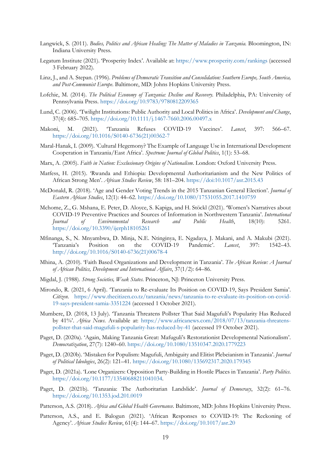- Langwick, S. (2011). *Bodies, Politics and African Healing: The Matter of Maladies in Tanzania.* Bloomington, IN: Indiana University Press.
- Legatum Institute (2021). 'Prosperity Index'. Available at:<https://www.prosperity.com/rankings> (accessed 3 February 2022).
- Linz, J., and A. Stepan. (1996). *Problems of Democratic Transition and Consolidation: Southern Europe, South America, and Post-Communist Europe*. Baltimore, MD: Johns Hopkins University Press.
- Lofchie, M. (2014). *The Political Economy of Tanzania: Decline and Recovery.* Philadelphia, PA: University of Pennsylvania Press. <https://doi.org/10.9783/9780812209365>
- Lund, C. (2006). 'Twilight Institutions: Public Authority and Local Politics in Africa'. *Development and Change*, 37(4): 685–705.<https://doi.org/10.1111/j.1467-7660.2006.00497.x>
- Makoni, M. (2021). 'Tanzania Refuses COVID-19 Vaccines'. *Lancet*, 397: 566–67. [https://doi.org/10.1016/S0140-6736\(21\)00362-7](https://doi.org/10.1016/S0140-6736(21)00362-7)
- Maral-Hanak, I. (2009). 'Cultural Hegemony? The Example of Language Use in International Development Cooperation in Tanzania/East Africa'. *Spectrum: Journal of Global Politics*, 1(1): 53–68.
- Marx, A. (2005). *Faith in Nation: Exclusionary Origins of Nationalism*. London: Oxford University Press.
- Matfess, H. (2015). 'Rwanda and Ethiopia: Developmental Authoritarianism and the New Politics of African Strong Men'. *African Studies Review*, 58: 181–204.<https://doi:10.1017/asr.2015.43>
- McDonald, R. (2018). 'Age and Gender Voting Trends in the 2015 Tanzanian General Election'. *Journal of Eastern African Studies*, 12(1): 44–62.<https://doi.org/10.1080/17531055.2017.1410759>
- Mchome, Z., G. Mshana, E. Peter, D. Aloyce, S. Kapiga, and H. Stöckl (2021). 'Women's Narratives about COVID-19 Preventive Practices and Sources of Information in Northwestern Tanzania'. *International Journal of Environmental Research and Public Health*, 18(10): 5261. <https://doi.org/10.3390/ijerph18105261>
- Mfinanga, S., N. Mnyambwa, D. Minja, N.E. Ntinginya, E. Ngadaya, J. Makani, and A. Makubi (2021). 'Tanzania's Position on the COVID-19 Pandemic'. *Lancet*, 397: 1542–43. [http://doi.org/10.1016/S0140-6736\(21\)00678-4](http://doi.org/10.1016/S0140-6736(21)00678-4)
- Mhina, A. (2010). 'Faith Based Organizations and Development in Tanzania'. *The African Review: A Journal of African Politics, Development and International Affairs*, 37(1/2): 64–86.
- Migdal, J. (1988). *Strong Societies, Weak States*. Princeton, NJ: Princeton University Press.
- Mirondo, R. (2021, 6 April). 'Tanzania to Re-evaluate Its Position on COVID-19, Says President Samia'. *Citizen*. [https://www.thecitizen.co.tz/tanzania/news/tanzania-to-re-evaluate-its-position-on-covid-](https://www.thecitizen.co.tz/tanzania/news/tanzania-to-re-evaluate-its-position-on-covid-19-says-president-samia-3351224)[19-says-president-samia-3351224](https://www.thecitizen.co.tz/tanzania/news/tanzania-to-re-evaluate-its-position-on-covid-19-says-president-samia-3351224) (accessed 1 October 2021).
- Mumbere, D. (2018, 13 July). 'Tanzania Threatens Pollster That Said Magufuli's Popularity Has Reduced by 41%'. *Africa News*. Available at: [https://www.africanews.com/2018/07/13/tanzania-threatens](https://www.africanews.com/2018/07/13/tanzania-threatens-pollster-that-said-magufuli-s-popularity-has-reduced-by-41)[pollster-that-said-magufuli-s-popularity-has-reduced-by-41](https://www.africanews.com/2018/07/13/tanzania-threatens-pollster-that-said-magufuli-s-popularity-has-reduced-by-41) (accessed 19 October 2021).
- Paget, D. (2020a). 'Again, Making Tanzania Great: Mafuguli's Restorationist Developmental Nationalism'. *Democratization*, 27(7): 1240–60. [https://doi.org/10.1080/13510347.2020.1779223](http://doi.org/10.1080/13510347.2020.1779223)
- Paget, D. (2020b). 'Mistaken for Populism: Magufuli, Ambiguity and Elitist Plebeianism in Tanzania'. *Journal of Political Ideologies*, 26(2): 121–41.<https://doi.org/10.1080/135692317.2020.179345>
- Paget, D. (2021a). 'Lone Organizers: Opposition Party-Building in Hostile Places in Tanzania'. *Party Politics*. [https://doi.org/10.1177/13540688211041034.](http://doi.org/10.1177/13540688211041034)
- Paget, D. (2021b). 'Tanzania: The Authoritarian Landslide'. *Journal of Democracy*, 32(2): 61–76. <https://doi.org/10.1353.jod.201.0019>
- Patterson, A.S. (2018). *Africa and Global Health Governance*. Baltimore, MD: Johns Hopkins University Press.
- Patterson, A.S., and E. Balogun (2021). 'African Responses to COVID-19: The Reckoning of Agency'. *African Studies Review*, 61(4): 144–67.<https://doi.org/10.1017/asr.20>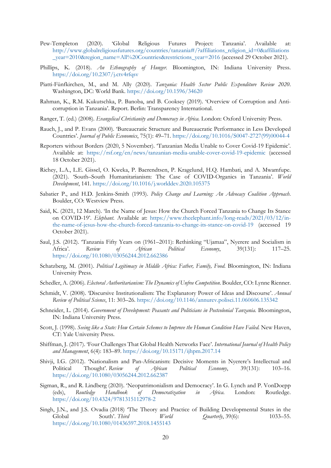- Pew-Templeton (2020). 'Global Religious Futures Project: Tanzania'. Available at: [http://www.globalreligiousfutures.org/countries/tanzania#/?affiliations\\_religion\\_id=0&affiliations](http://www.globalreligiousfutures.org/countries/tanzania%23/?affiliations_religion_id=0&affiliations_year=2010®ion_name=All%20Countries&restrictions_year=2016%20) [\\_year=2010&region\\_name=All%20Countries&restrictions\\_year=2016](http://www.globalreligiousfutures.org/countries/tanzania%23/?affiliations_religion_id=0&affiliations_year=2010®ion_name=All%20Countries&restrictions_year=2016%20) (accessed 29 October 2021).
- Phillips, K. (2018). *An Ethnography of Hunger*. Bloomington, IN: Indiana University Press. <https://doi.org/10.2307/j.ctv4rfqsv>
- Piatti-Fünfkirchen, M., and M. Ally (2020). *Tanzania: Health Sector Public Expenditure Review 2020*. Washington, DC: World Bank.<https://doi.org/10.1596/34620>
- Rahman, K., R.M. Kukutschka, P. Banoba, and B. Cooksey (2019). 'Overview of Corruption and Anticorruption in Tanzania'. Report. Berlin: Transparency International.
- Ranger, T. (ed.) (2008). *Evangelical Christianity and Democracy in Africa.* London: Oxford University Press.
- Rauch, J., and P. Evans (2000). 'Bureaucratic Structure and Bureaucratic Performance in Less Developed Countries'. *Journal of Public Economics*, 75(1): 49–71. [https://doi.org/10.1016/S0047-2727\(99\)00044-4](https://doi.org/10.1016/S0047-2727(99)00044-4)
- Reporters without Borders (2020, 5 November). 'Tanzanian Media Unable to Cover Covid-19 Epidemic'. Available at: <https://rsf.org/en/news/tanzanian-media-unable-cover-covid-19-epidemic> (accessed 18 October 2021).
- Richey, L.A., L.E. Gissel, O. Kweka, P. Baerendtsen, P. Kragelund, H.Q. Hambati, and A. Mwamfupe. (2021). 'South–South Humanitarianism: The Case of COVID-Organics in Tanzania'. *World Development*, 141.<https://doi.org/10.1016/j.worlddev.2020.105375>
- Sabatier P., and H.D. Jenkins-Smith (1993). *Policy Change and Learning: An Advocacy Coalition Approach*. Boulder, CO: Westview Press.
- Said, K. (2021, 12 March). 'In the Name of Jesus: How the Church Forced Tanzania to Change Its Stance on COVID-19'. *Elephant*. Available at: [https://www.theelephant.info/long-reads/2021/03/12/in](https://www.theelephant.info/long-reads/2021/03/12/in-the-name-of-jesus-how-the-church-forced-tanzania-to-change-its-stance-on-covid-19)[the-name-of-jesus-how-the-church-forced-tanzania-to-change-its-stance-on-covid-19](https://www.theelephant.info/long-reads/2021/03/12/in-the-name-of-jesus-how-the-church-forced-tanzania-to-change-its-stance-on-covid-19) (accessed 19 October 2021).
- Saul, J.S. (2012). 'Tanzania Fifty Years on (1961–2011): Rethinking "Ujamaa", Nyerere and Socialism in Africa'. *Review of African Political Economy*, 39(131): 117–25. <https://doi.org/10.1080/03056244.2012.662386>
- Schatzberg, M. (2001). *Political Legitimacy in Middle Africa: Father, Family, Food*. Bloomington, IN: Indiana University Press.
- Schedler, A. (2006). *Electoral Authoritarianism: The Dynamics of Unfree Competition*. Boulder, CO: Lynne Rienner.
- Schmidt, V. (2008). 'Discursive Institutionalism: The Explanatory Power of Ideas and Discourse'. *Annual Review of Political Science*, 11: 303–26.<https://doi.org/10.1146/annurev.polisci.11.060606.135342>
- Schneider, L. (2014). *Government of Development: Peasants and Politicians in Postcolonial Tanzania.* Bloomington, IN: Indiana University Press.
- Scott, J. (1998). *Seeing like a State: How Certain Schemes to Improve the Human Condition Have Failed.* New Haven, CT: Yale University Press.
- Shiffman, J. (2017). 'Four Challenges That Global Health Networks Face'. *International Journal of Health Policy and Management*, 6(4): 183–89.<https://doi.org/10.15171/ijhpm.2017.14>
- Shivji, I.G. (2012). 'Nationalism and Pan-Africanism: Decisive Moments in Nyerere's Intellectual and Political Thought'. *Review of African Political Economy*, 39(131): 103–16. <https://doi.org/10.1080/03056244.2012.662387>
- Sigman, R., and R. Lindberg (2020). 'Neopatrimonialism and Democracy'. In G. Lynch and P. VonDoepp (eds), *Routledge Handbook of Democratization in Africa*. London: Routledge. <https://doi.org/10.4324/9781315112978-2>
- Singh, J.N., and J.S. Ovadia (2018) 'The Theory and Practice of Building Developmental States in the Global South'. *Third World Quarterly*, 39(6): 1033–55. <https://doi.org/10.1080/01436597.2018.1455143>